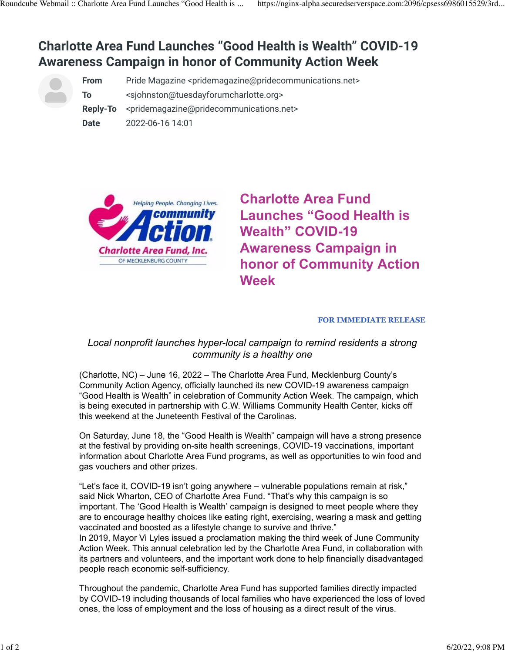## **Charlotte Area Fund Launches "Good Health is Wealth" COVID-19 Awareness Campaign in honor of Community Action Week**

From Pride Magazine <pridemagazine@pridecommunications.net> **To** <sjohnston@tuesdayforumcharlotte.org> Reply-To <pridemagazine@pridecommunications.net> **Date** 2022-06-16 14:01



**Charlotte Area Fund Launches "Good Health is Wealth" COVID-19 Awareness Campaign in honor of Community Action Week**

## **FOR IMMEDIATE RELEASE**

## *Local nonprofit launches hyper-local campaign to remind residents a strong community is a healthy one*

(Charlotte, NC) – June 16, 2022 – The [Charlotte Area Fund,](https://r20.rs6.net/tn.jsp?f=001nQKiMZ04RHkoFio3A0NwcMHUk1yNmf7J12C8_e2JsTHObHezBzPWUchWFNbPLWdgLfq5eKISk6v6fcufyfJULuud0gGdUzctk0bu3DLFyjfiBbLt1lLcjgUpPv5oMtBTdElw4KMvC_KGpugyRbjAILqGGUjxXPgs&c=XLD-nHzDl9aJOnFyVPRtbkYfUleW_oZ4Pv_nCXlroDznZ9Ii3J15Lw==&ch=l6Mr4gWIh_I1s5K_A3n_azqqjnPuHAlYdVnhmBtRNrDf-_TEb9afmA==) Mecklenburg County's Community Action Agency, officially launched its new COVID-19 awareness campaign "Good Health is Wealth" in celebration of Community Action Week. The campaign, which is being executed in partnership with C.W. Williams Community Health Center, kicks off this weekend at the [Juneteenth Festival of the Carolinas.](https://r20.rs6.net/tn.jsp?f=001nQKiMZ04RHkoFio3A0NwcMHUk1yNmf7J12C8_e2JsTHObHezBzPWUchWFNbPLWdg9gFrAK2ed4Hrg6LeUp8VRIJaQ9bqOvUiregVjLh3qJqKCKTTQRegRIN27E0ts5ygb1LhxQK9PcW_m_QMpgUygr1-YFpV6WSZoShLA9BJHEQ=&c=XLD-nHzDl9aJOnFyVPRtbkYfUleW_oZ4Pv_nCXlroDznZ9Ii3J15Lw==&ch=l6Mr4gWIh_I1s5K_A3n_azqqjnPuHAlYdVnhmBtRNrDf-_TEb9afmA==)

On Saturday, June 18, the "Good Health is Wealth" campaign will have a strong presence at the festival by providing on-site health screenings, COVID-19 vaccinations, important information about Charlotte Area Fund programs, as well as opportunities to win food and gas vouchers and other prizes.

"Let's face it, COVID-19 isn't going anywhere – vulnerable populations remain at risk," said Nick Wharton, CEO of Charlotte Area Fund. "That's why this campaign is so important. The 'Good Health is Wealth' campaign is designed to meet people where they are to encourage healthy choices like eating right, exercising, wearing a mask and getting vaccinated and boosted as a lifestyle change to survive and thrive."

In 2019, Mayor Vi Lyles issued a proclamation making the third week of June Community Action Week. This annual celebration led by the Charlotte Area Fund, in collaboration with its partners and volunteers, and the important work done to help financially disadvantaged people reach economic self-sufficiency.

Throughout the pandemic, Charlotte Area Fund has supported families directly impacted by COVID-19 including thousands of local families who have experienced the loss of loved ones, the loss of employment and the loss of housing as a direct result of the virus.